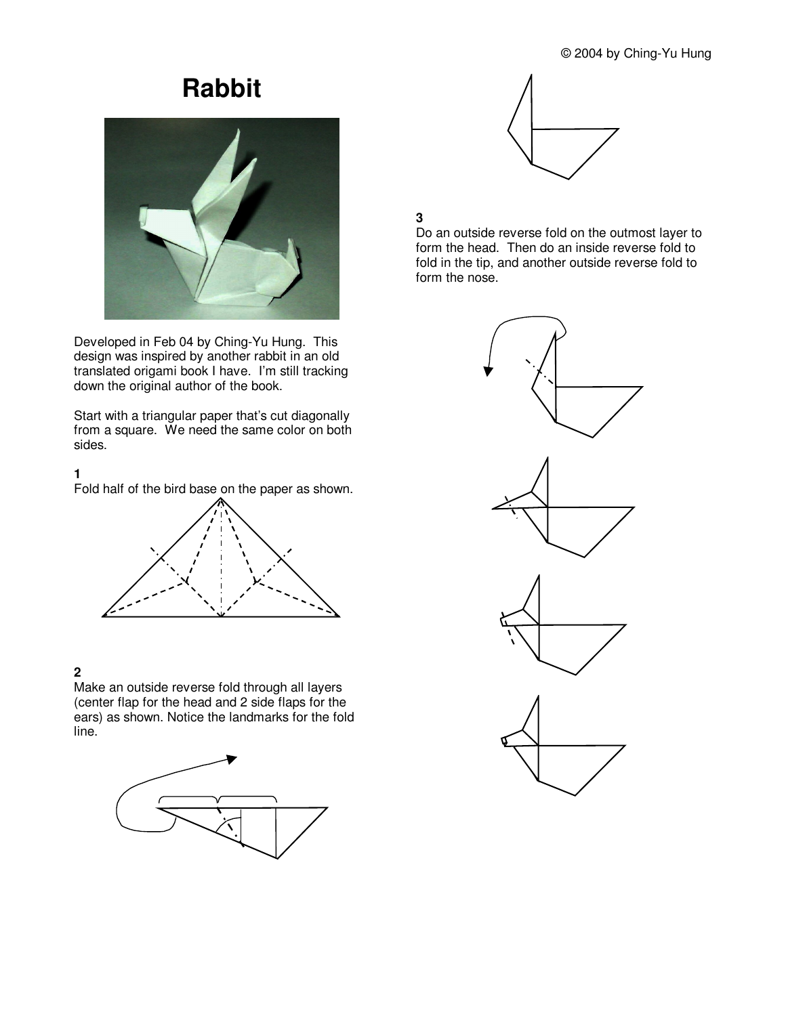## © 2004 by Ching-Yu Hung

# **Rabbit**



Developed in Feb 04 by Ching-Yu Hung. This design was inspired by another rabbit in an old translated origami book I have. I'm still tracking down the original author of the book.

Start with a triangular paper that's cut diagonally from a square. We need the same color on both sides.

## **1**

Fold half of the bird base on the paper as shown.



## **2**

Make an outside reverse fold through all layers (center flap for the head and 2 side flaps for the ears) as shown. Notice the landmarks for the fold line.





## **3**

Do an outside reverse fold on the outmost layer to form the head. Then do an inside reverse fold to fold in the tip, and another outside reverse fold to form the nose.